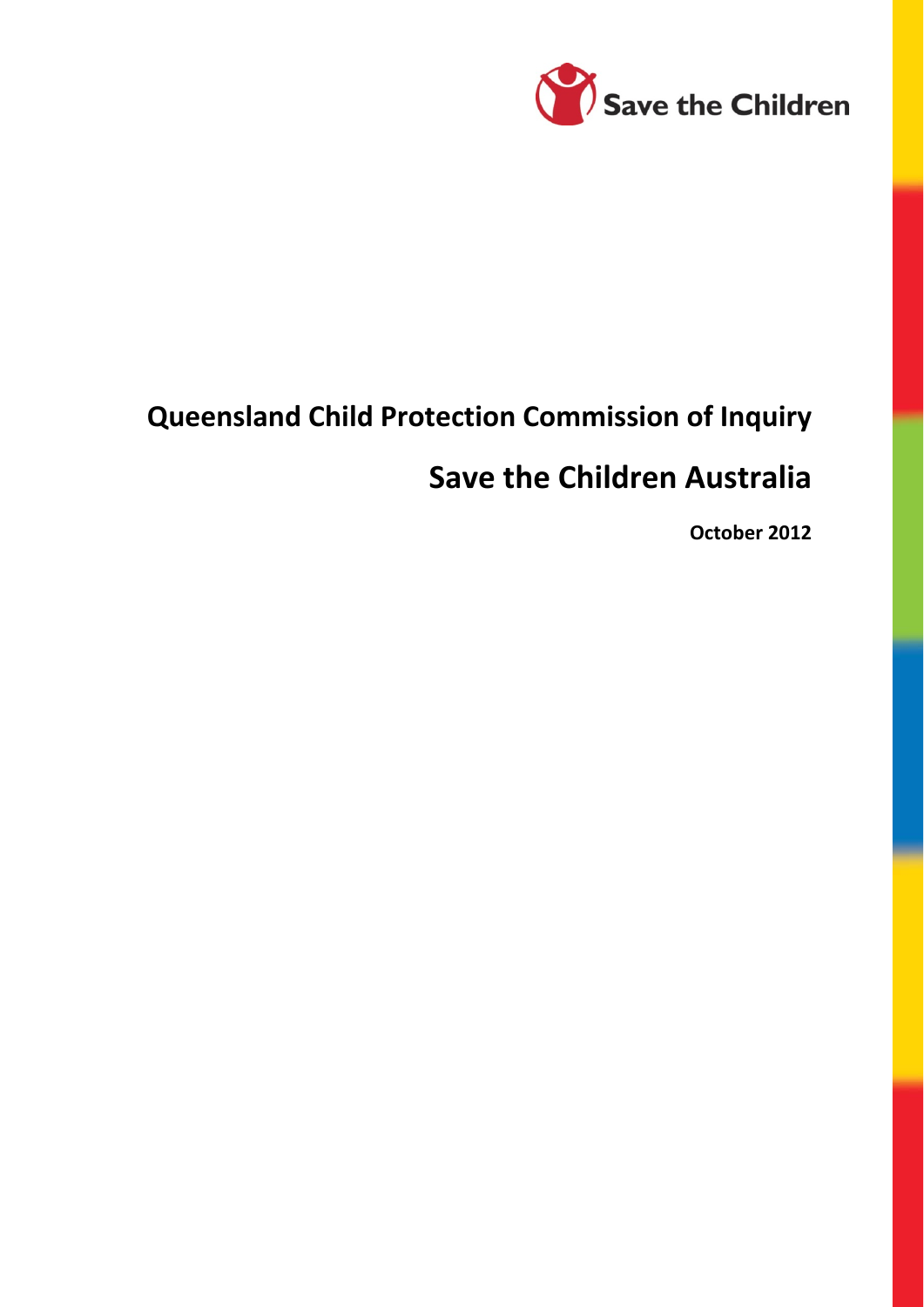

# **Queensland Child Protection Commission of Inquiry**

# **Save the Children Australia**

**October 2012**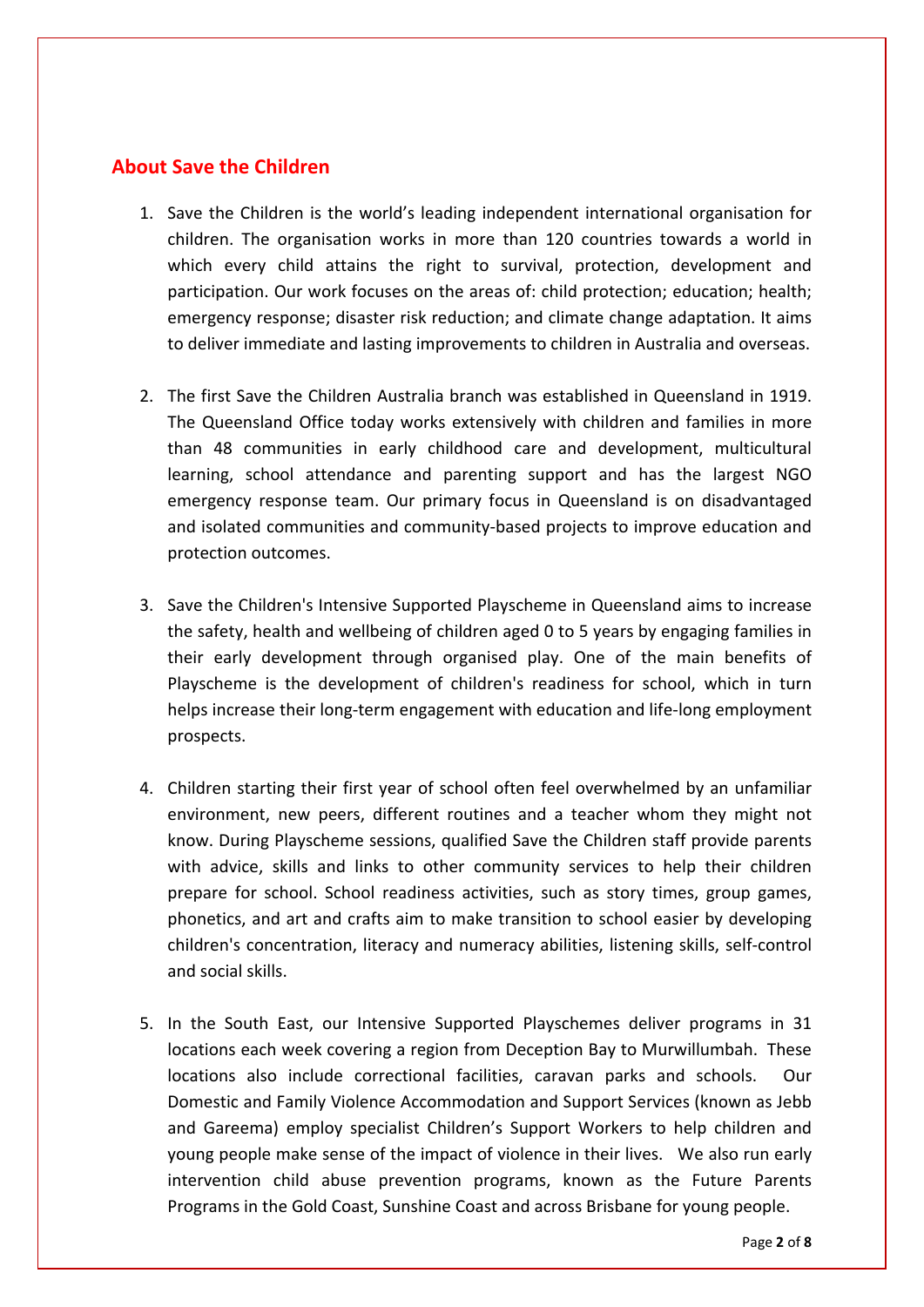## **About Save the Children**

- 1. Save the Children is the world's leading independent international organisation for children. The organisation works in more than 120 countries towards a world in which every child attains the right to survival, protection, development and participation. Our work focuses on the areas of: child protection; education; health; emergency response; disaster risk reduction; and climate change adaptation. It aims to deliver immediate and lasting improvements to children in Australia and overseas.
- 2. The first Save the Children Australia branch was established in Queensland in 1919. The Queensland Office today works extensively with children and families in more than 48 communities in early childhood care and development, multicultural learning, school attendance and parenting support and has the largest NGO emergency response team. Our primary focus in Queensland is on disadvantaged and isolated communities and community-based projects to improve education and protection outcomes.
- 3. Save the Children's Intensive Supported Playscheme in Queensland aims to increase the safety, health and wellbeing of children aged 0 to 5 years by engaging families in their early development through organised play. One of the main benefits of Playscheme is the development of children's readiness for school, which in turn helps increase their long-term engagement with education and life-long employment prospects.
- 4. Children starting their first year of school often feel overwhelmed by an unfamiliar environment, new peers, different routines and a teacher whom they might not know. During Playscheme sessions, qualified Save the Children staff provide parents with advice, skills and links to other community services to help their children prepare for school. School readiness activities, such as story times, group games, phonetics, and art and crafts aim to make transition to school easier by developing children's concentration, literacy and numeracy abilities, listening skills, self‐control and social skills.
- 5. In the South East, our Intensive Supported Playschemes deliver programs in 31 locations each week covering a region from Deception Bay to Murwillumbah. These locations also include correctional facilities, caravan parks and schools. Our Domestic and Family Violence Accommodation and Support Services (known as Jebb and Gareema) employ specialist Children's Support Workers to help children and young people make sense of the impact of violence in their lives. We also run early intervention child abuse prevention programs, known as the Future Parents Programs in the Gold Coast, Sunshine Coast and across Brisbane for young people.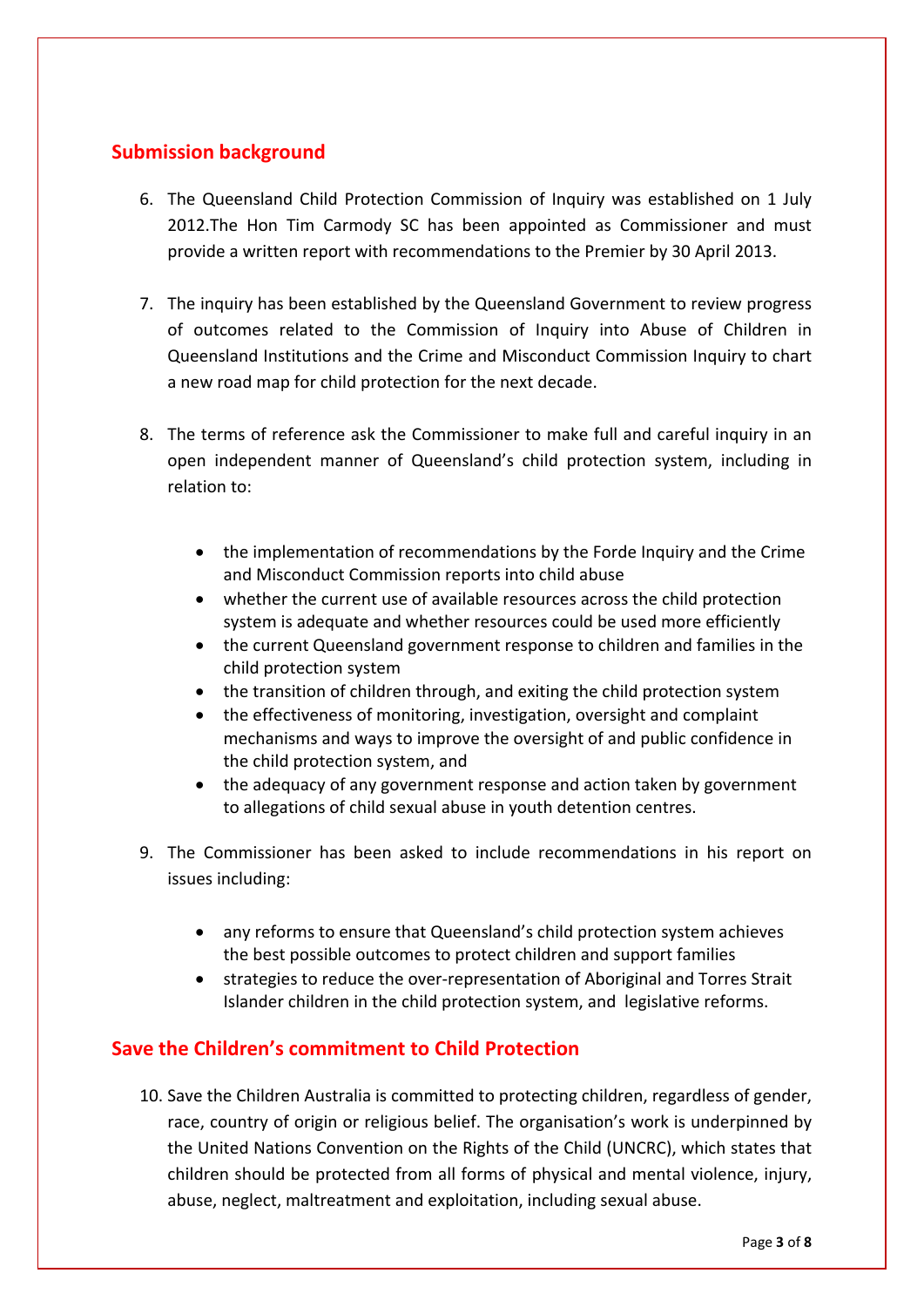## **Submission background**

- 6. The Queensland Child Protection Commission of Inquiry was established on 1 July 2012.The Hon Tim [Carmody](http://www.childprotectioninquiry.qld.gov.au/about/commissioner) SC has been appointed as Commissioner and must provide a written report with recommendations to the Premier by 30 April 2013.
- 7. The inquiry has been established by the Queensland Government to review progress of outcomes related to the [Commission](http://www.communities.qld.gov.au/resources/communityservices/community/forgotten-australians/forde-comminquiry.pdf) of Inquiry into Abuse of Children in [Queensland](http://www.communities.qld.gov.au/resources/communityservices/community/forgotten-australians/forde-comminquiry.pdf) Institutions and the Crime and Misconduct [Commission](http://www.communities.qld.gov.au/childsafety/about-us/publications/protecting-children-an-inquiry-into-abuse-of-children-in-foster-care) Inquiry to chart a new road map for child protection for the next decade.
- 8. The terms of reference ask the Commissioner to make full and careful inquiry in an open independent manner of Queensland's child protection system, including in relation to:
	- the implementation of recommendations by the Forde Inquiry and the Crime and Misconduct Commission reports into child abuse
	- whether the current use of available resources across the child protection system is adequate and whether resources could be used more efficiently
	- the current Queensland government response to children and families in the child protection system
	- the transition of children through, and exiting the child protection system
	- the effectiveness of monitoring, investigation, oversight and complaint mechanisms and ways to improve the oversight of and public confidence in the child protection system, and
	- the adequacy of any government response and action taken by government to allegations of child sexual abuse in youth detention centres.
- 9. The Commissioner has been asked to include recommendations in his report on issues including:
	- any reforms to ensure that Queensland's child protection system achieves the best possible outcomes to protect children and support families
	- strategies to reduce the over‐representation of Aboriginal and Torres Strait Islander children in the child protection system, and legislative reforms.

## **Save the Children's commitment to Child Protection**

10. Save the Children Australia is committed to protecting children, regardless of gender, race, country of origin or religious belief. The organisation's work is underpinned by the United Nations Convention on the Rights of the Child (UNCRC), which states that children should be protected from all forms of physical and mental violence, injury, abuse, neglect, maltreatment and exploitation, including sexual abuse.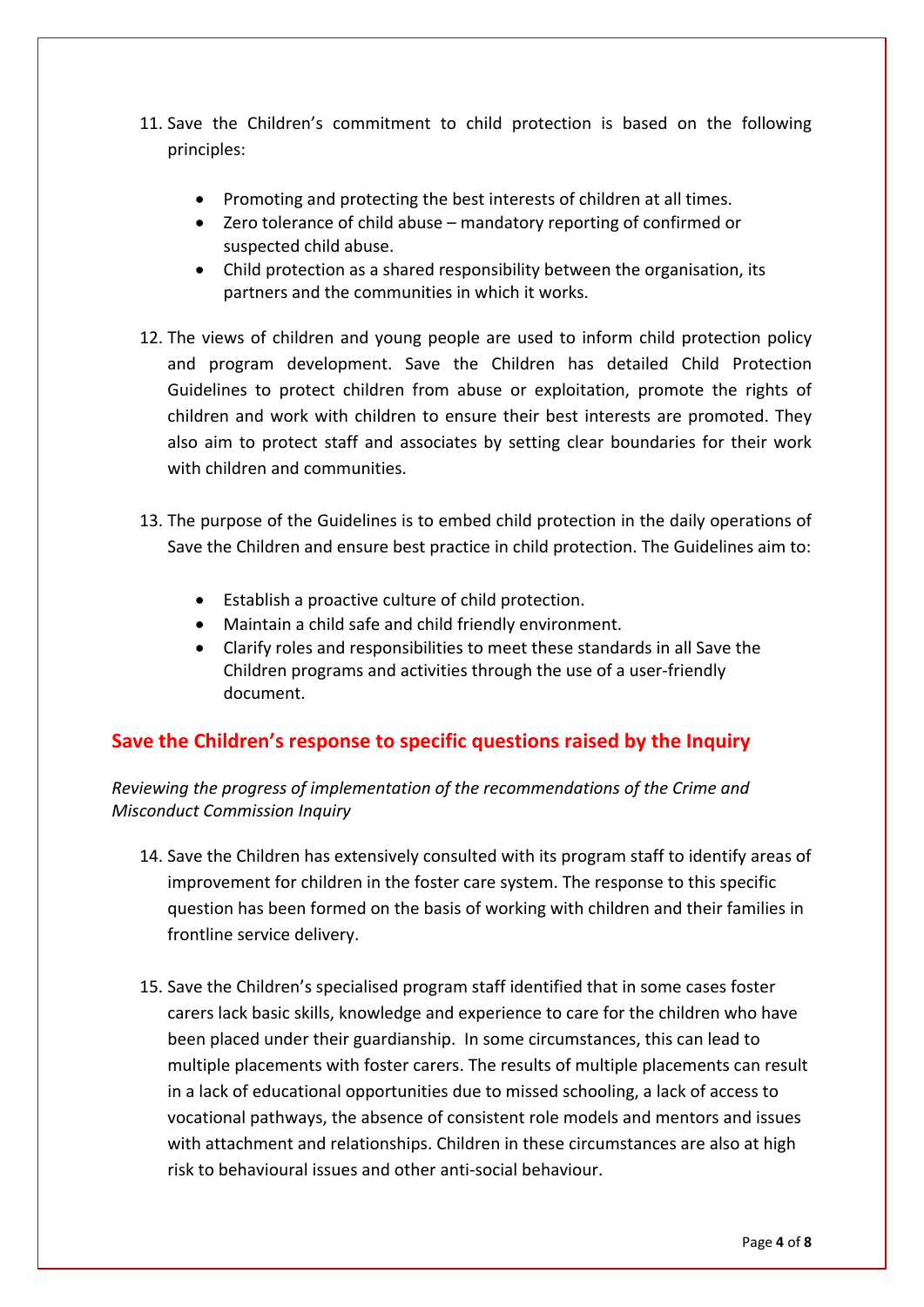- 11. Save the Children's commitment to child protection is based on the following principles:
	- Promoting and protecting the best interests of children at all times.
	- Zero tolerance of child abuse mandatory reporting of confirmed or suspected child abuse.
	- Child protection as a shared responsibility between the organisation, its partners and the communities in which it works.
- 12. The views of children and young people are used to inform child protection policy and program development. Save the Children has detailed Child Protection Guidelines to protect children from abuse or exploitation, promote the rights of children and work with children to ensure their best interests are promoted. They also aim to protect staff and associates by setting clear boundaries for their work with children and communities.
- 13. The purpose of the Guidelines is to embed child protection in the daily operations of Save the Children and ensure best practice in child protection. The Guidelines aim to:
	- Establish a proactive culture of child protection.
	- Maintain a child safe and child friendly environment.
	- Clarify roles and responsibilities to meet these standards in all Save the Children programs and activities through the use of a user‐friendly document.

### **Save the Children's response to specific questions raised by the Inquiry**

*Reviewing the progress of implementation of the recommendations of the Crime and Misconduct Commission Inquiry*

- 14. Save the Children has extensively consulted with its program staff to identify areas of improvement for children in the foster care system. The response to this specific question has been formed on the basis of working with children and their families in frontline service delivery.
- 15. Save the Children's specialised program staff identified that in some cases foster carers lack basic skills, knowledge and experience to care for the children who have been placed under their guardianship. In some circumstances, this can lead to multiple placements with foster carers. The results of multiple placements can result in a lack of educational opportunities due to missed schooling, a lack of access to vocational pathways, the absence of consistent role models and mentors and issues with attachment and relationships. Children in these circumstances are also at high risk to behavioural issues and other anti‐social behaviour.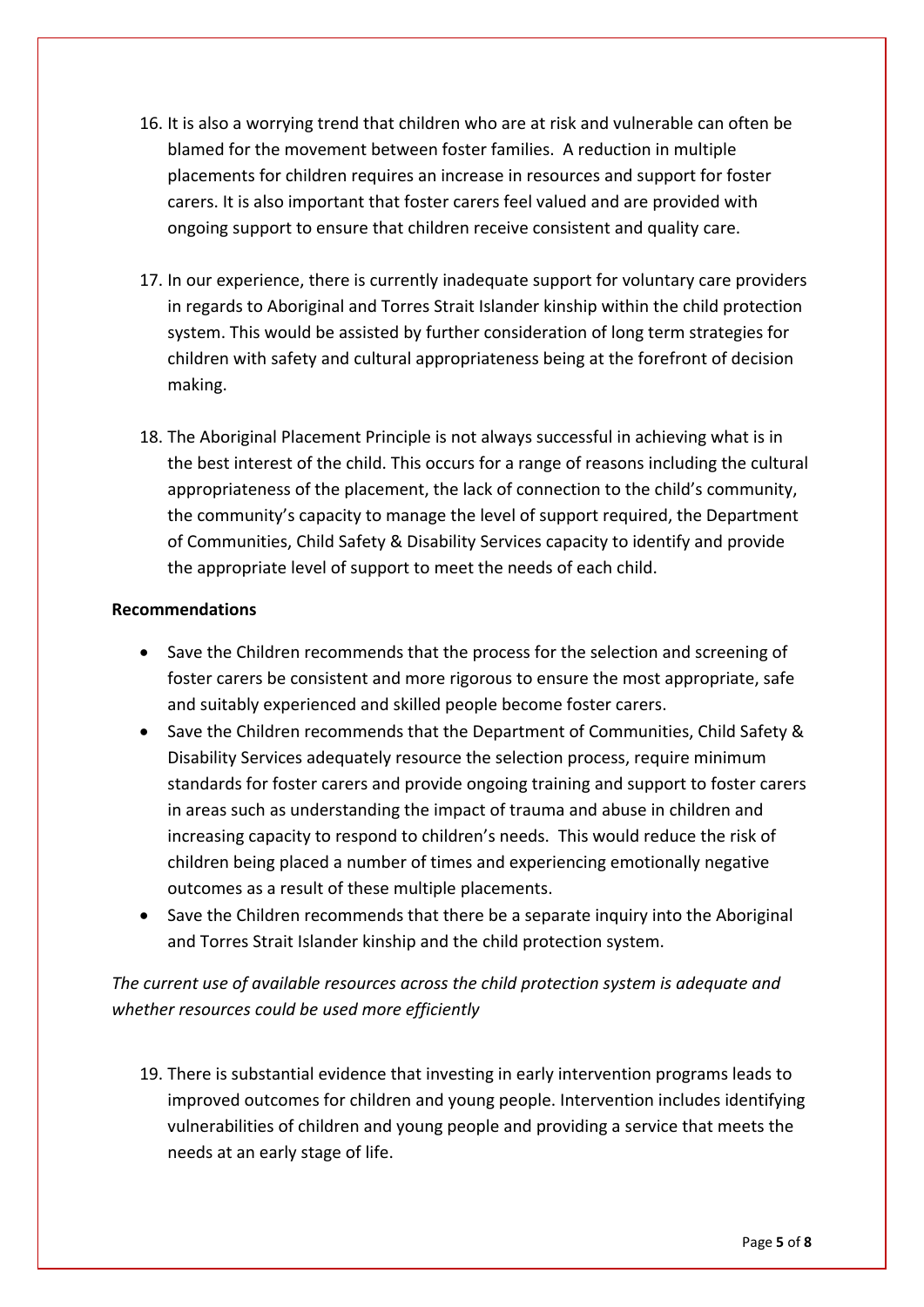- 16. It is also a worrying trend that children who are at risk and vulnerable can often be blamed for the movement between foster families. A reduction in multiple placements for children requires an increase in resources and support for foster carers. It is also important that foster carers feel valued and are provided with ongoing support to ensure that children receive consistent and quality care.
- 17. In our experience, there is currently inadequate support for voluntary care providers in regards to Aboriginal and Torres Strait Islander kinship within the child protection system. This would be assisted by further consideration of long term strategies for children with safety and cultural appropriateness being at the forefront of decision making.
- 18. The Aboriginal Placement Principle is not always successful in achieving what is in the best interest of the child. This occurs for a range of reasons including the cultural appropriateness of the placement, the lack of connection to the child's community, the community's capacity to manage the level of support required, the Department of Communities, Child Safety & Disability Services capacity to identify and provide the appropriate level of support to meet the needs of each child.

#### **Recommendations**

- Save the Children recommends that the process for the selection and screening of foster carers be consistent and more rigorous to ensure the most appropriate, safe and suitably experienced and skilled people become foster carers.
- Save the Children recommends that the Department of Communities, Child Safety & Disability Services adequately resource the selection process, require minimum standards for foster carers and provide ongoing training and support to foster carers in areas such as understanding the impact of trauma and abuse in children and increasing capacity to respond to children's needs. This would reduce the risk of children being placed a number of times and experiencing emotionally negative outcomes as a result of these multiple placements.
- Save the Children recommends that there be a separate inquiry into the Aboriginal and Torres Strait Islander kinship and the child protection system.

*The current use of available resources across the child protection system is adequate and whether resources could be used more efficiently*

19. There is substantial evidence that investing in early intervention programs leads to improved outcomes for children and young people. Intervention includes identifying vulnerabilities of children and young people and providing a service that meets the needs at an early stage of life.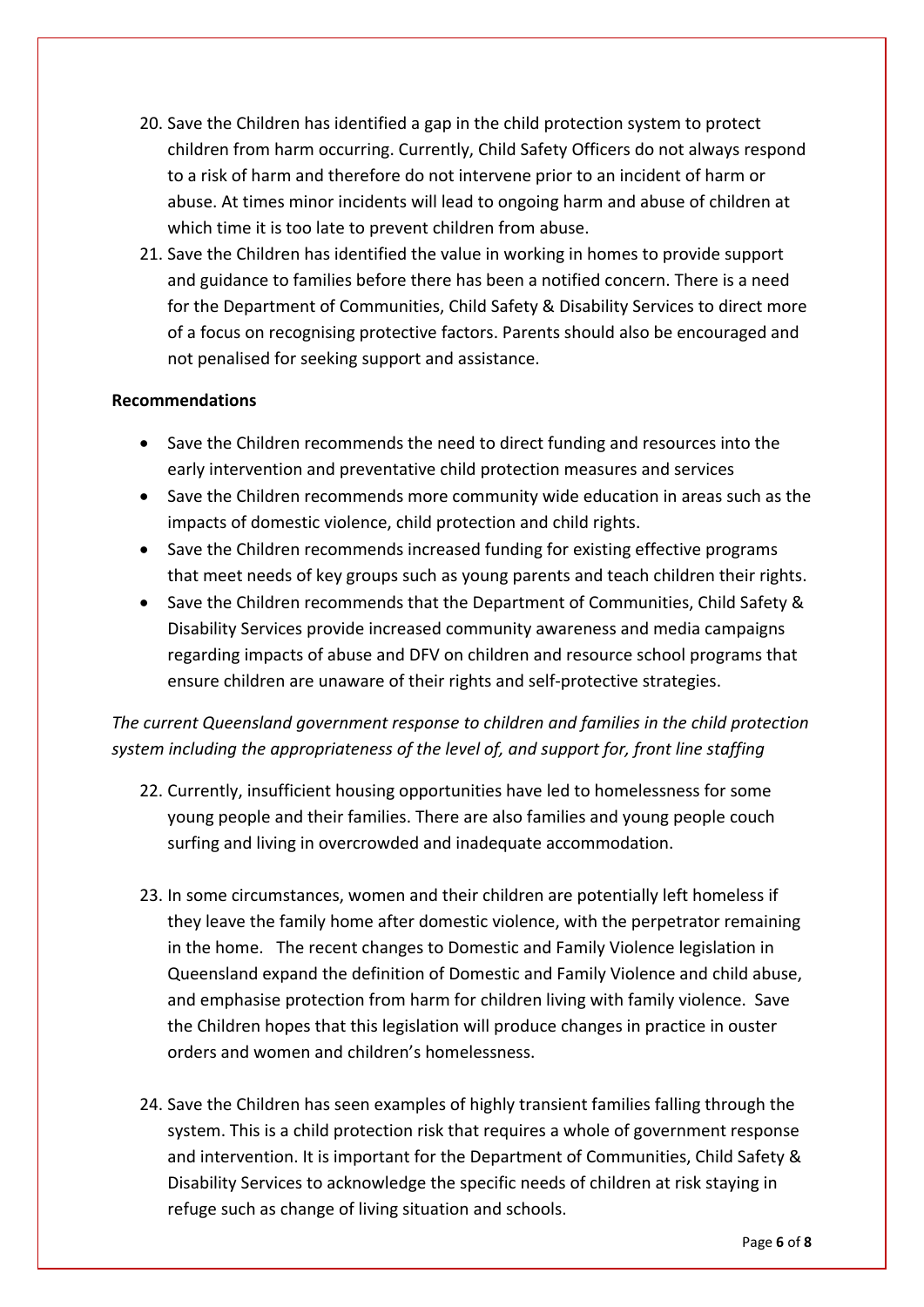- 20. Save the Children has identified a gap in the child protection system to protect children from harm occurring. Currently, Child Safety Officers do not always respond to a risk of harm and therefore do not intervene prior to an incident of harm or abuse. At times minor incidents will lead to ongoing harm and abuse of children at which time it is too late to prevent children from abuse.
- 21. Save the Children has identified the value in working in homes to provide support and guidance to families before there has been a notified concern. There is a need for the Department of Communities, Child Safety & Disability Services to direct more of a focus on recognising protective factors. Parents should also be encouraged and not penalised for seeking support and assistance.

#### **Recommendations**

- Save the Children recommends the need to direct funding and resources into the early intervention and preventative child protection measures and services
- Save the Children recommends more community wide education in areas such as the impacts of domestic violence, child protection and child rights.
- Save the Children recommends increased funding for existing effective programs that meet needs of key groups such as young parents and teach children their rights.
- Save the Children recommends that the Department of Communities, Child Safety & Disability Services provide increased community awareness and media campaigns regarding impacts of abuse and DFV on children and resource school programs that ensure children are unaware of their rights and self‐protective strategies.

# *The current Queensland government response to children and families in the child protection system including the appropriateness of the level of, and support for, front line staffing*

- 22. Currently, insufficient housing opportunities have led to homelessness for some young people and their families. There are also families and young people couch surfing and living in overcrowded and inadequate accommodation.
- 23. In some circumstances, women and their children are potentially left homeless if they leave the family home after domestic violence, with the perpetrator remaining in the home. The recent changes to Domestic and Family Violence legislation in Queensland expand the definition of Domestic and Family Violence and child abuse, and emphasise protection from harm for children living with family violence. Save the Children hopes that this legislation will produce changes in practice in ouster orders and women and children's homelessness.
- 24. Save the Children has seen examples of highly transient families falling through the system. This is a child protection risk that requires a whole of government response and intervention. It is important for the Department of Communities, Child Safety & Disability Services to acknowledge the specific needs of children at risk staying in refuge such as change of living situation and schools.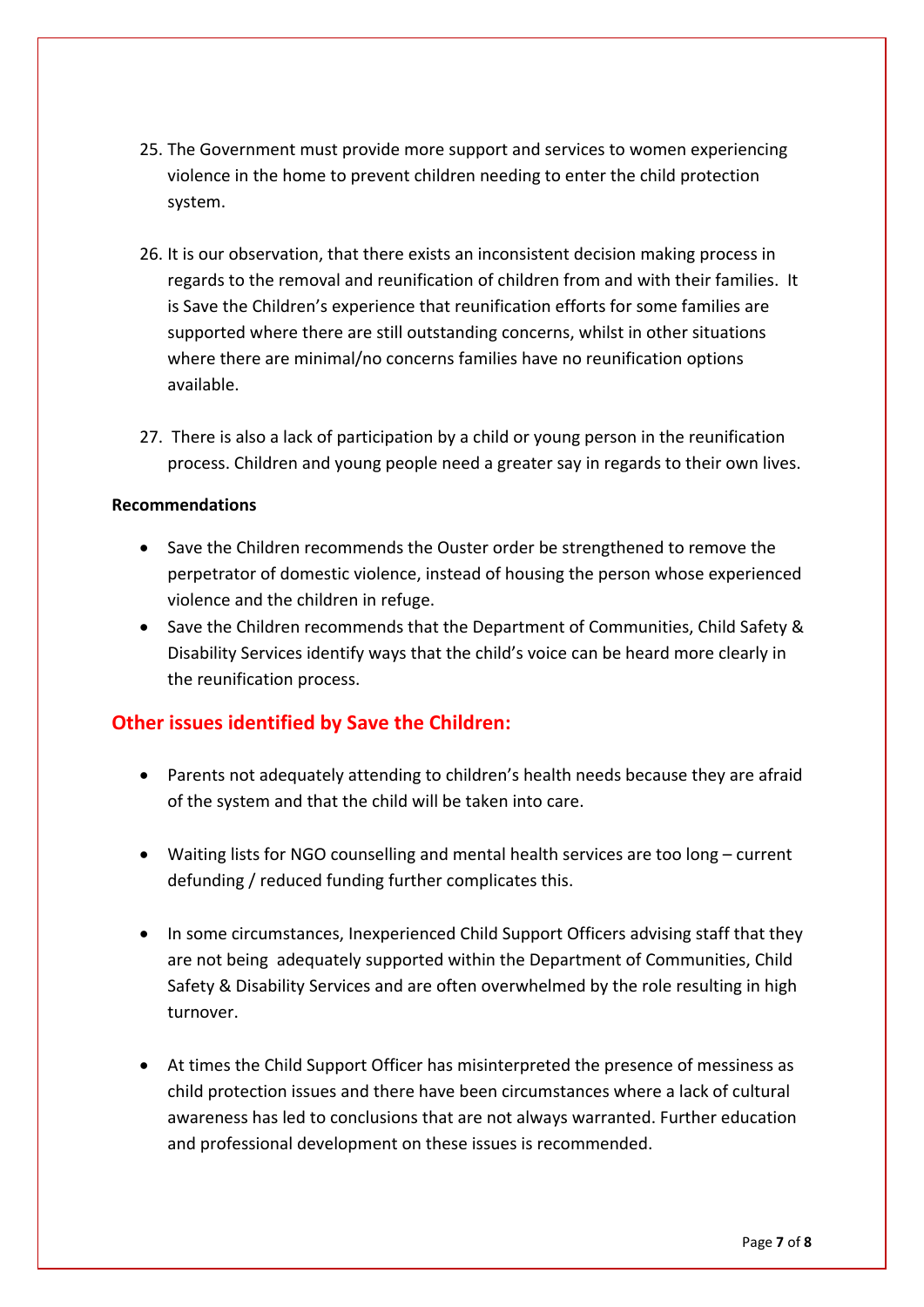- 25. The Government must provide more support and services to women experiencing violence in the home to prevent children needing to enter the child protection system.
- 26. It is our observation, that there exists an inconsistent decision making process in regards to the removal and reunification of children from and with their families. It is Save the Children's experience that reunification efforts for some families are supported where there are still outstanding concerns, whilst in other situations where there are minimal/no concerns families have no reunification options available.
- 27. There is also a lack of participation by a child or young person in the reunification process. Children and young people need a greater say in regards to their own lives.

### **Recommendations**

- Save the Children recommends the Ouster order be strengthened to remove the perpetrator of domestic violence, instead of housing the person whose experienced violence and the children in refuge.
- Save the Children recommends that the Department of Communities, Child Safety & Disability Services identify ways that the child's voice can be heard more clearly in the reunification process.

# **Other issues identified by Save the Children:**

- Parents not adequately attending to children's health needs because they are afraid of the system and that the child will be taken into care.
- Waiting lists for NGO counselling and mental health services are too long current defunding / reduced funding further complicates this.
- In some circumstances, Inexperienced Child Support Officers advising staff that they are not being adequately supported within the Department of Communities, Child Safety & Disability Services and are often overwhelmed by the role resulting in high turnover.
- At times the Child Support Officer has misinterpreted the presence of messiness as child protection issues and there have been circumstances where a lack of cultural awareness has led to conclusions that are not always warranted. Further education and professional development on these issues is recommended.